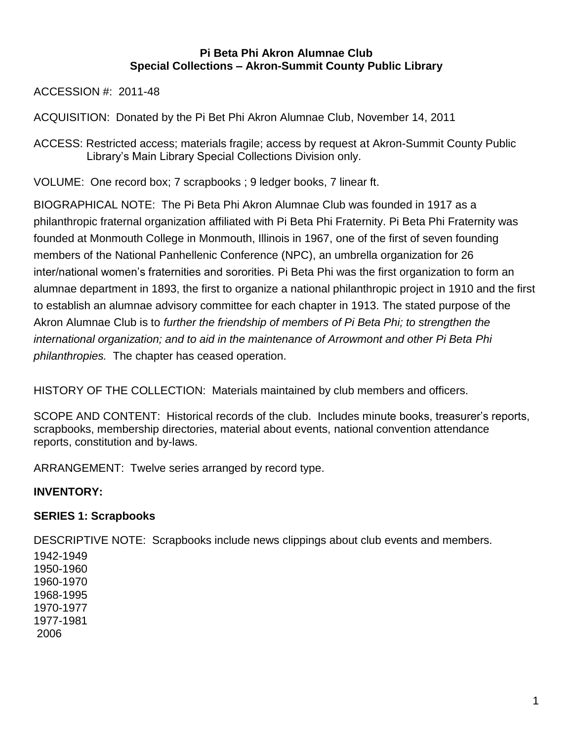## **Pi Beta Phi Akron Alumnae Club Special Collections – Akron-Summit County Public Library**

ACCESSION #: 2011-48

ACQUISITION: Donated by the Pi Bet Phi Akron Alumnae Club, November 14, 2011

ACCESS: Restricted access; materials fragile; access by request at Akron-Summit County Public Library's Main Library Special Collections Division only.

VOLUME: One record box; 7 scrapbooks ; 9 ledger books, 7 linear ft.

BIOGRAPHICAL NOTE: The Pi Beta Phi Akron Alumnae Club was founded in 1917 as a philanthropic fraternal organization affiliated with Pi Beta Phi Fraternity. Pi Beta Phi Fraternity was founded at Monmouth College in Monmouth, Illinois in 1967, one of the first of seven founding members of the National Panhellenic Conference (NPC), an umbrella organization for 26 inter/national women's fraternities and sororities. Pi Beta Phi was the first organization to form an alumnae department in 1893, the first to organize a national philanthropic project in 1910 and the first to establish an alumnae advisory committee for each chapter in 1913. The stated purpose of the Akron Alumnae Club is to *further the friendship of members of Pi Beta Phi; to strengthen the international organization; and to aid in the maintenance of Arrowmont and other Pi Beta Phi philanthropies.* The chapter has ceased operation.

HISTORY OF THE COLLECTION: Materials maintained by club members and officers.

SCOPE AND CONTENT: Historical records of the club. Includes minute books, treasurer's reports, scrapbooks, membership directories, material about events, national convention attendance reports, constitution and by-laws.

ARRANGEMENT: Twelve series arranged by record type.

# **INVENTORY:**

# **SERIES 1: Scrapbooks**

DESCRIPTIVE NOTE: Scrapbooks include news clippings about club events and members.

1942-1949 1950-1960 1960-1970 1968-1995 1970-1977 1977-1981 2006